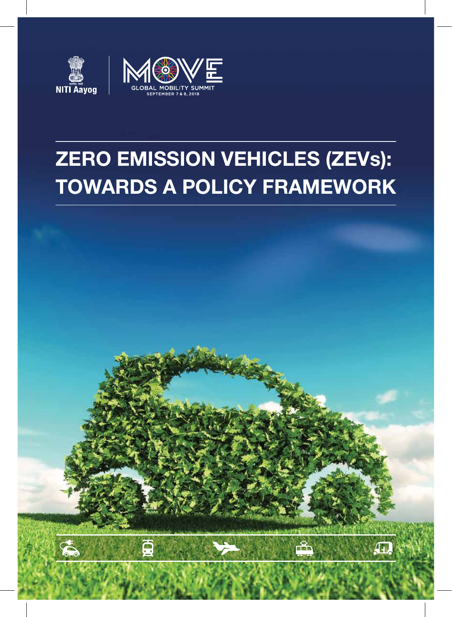



# **ZERO EMISSION VEHICLES (ZEVs): TOWARDS A POLICY FRAMEWORK**

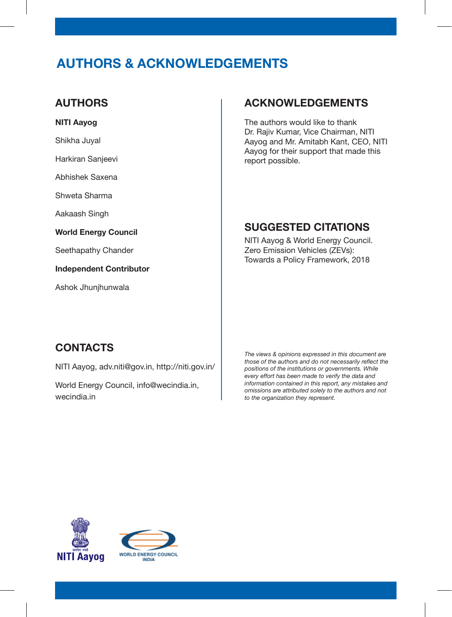# **AUTHORS & ACKNOWLEDGEMENTS**

#### **AUTHORS**

#### **NITI Aayog**

Shikha Juyal

Harkiran Sanjeevi

Abhishek Saxena

Shweta Sharma

Aakaash Singh

**World Energy Council**

Seethapathy Chander

**Independent Contributor**

Ashok Jhunjhunwala

#### **ACKNOWLEDGEMENTS**

The authors would like to thank Dr. Rajiv Kumar, Vice Chairman, NITI Aayog and Mr. Amitabh Kant, CEO, NITI Aayog for their support that made this report possible.

#### **SUGGESTED CITATIONS**

NITI Aayog & World Energy Council. Zero Emission Vehicles (ZEVs): Towards a Policy Framework, 2018

#### **CONTACTS**

NITI Aayog, adv.niti@gov.in, http://niti.gov.in/

World Energy Council, info@wecindia.in, wecindia.in

*The views & opinions expressed in this document are those of the authors and do not necessarily reflect the positions of the institutions or governments. While every effort has been made to verify the data and information contained in this report, any mistakes and omissions are attributed solely to the authors and not to the organization they represent.*



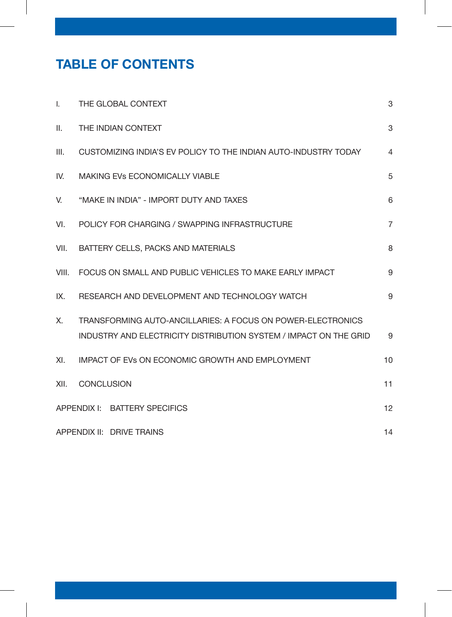# **TABLE OF CONTENTS**

| $\mathsf{I}$ .            | THE GLOBAL CONTEXT                                                                                                               | 3              |
|---------------------------|----------------------------------------------------------------------------------------------------------------------------------|----------------|
| $\mathbf{II}$ .           | THE INDIAN CONTEXT                                                                                                               | $\mathbf{3}$   |
| III.                      | CUSTOMIZING INDIA'S EV POLICY TO THE INDIAN AUTO-INDUSTRY TODAY                                                                  | $\overline{4}$ |
| IV.                       | <b>MAKING EVS ECONOMICALLY VIABLE</b>                                                                                            | 5              |
| V.                        | "MAKE IN INDIA" - IMPORT DUTY AND TAXES                                                                                          | 6              |
| VI.                       | POLICY FOR CHARGING / SWAPPING INFRASTRUCTURE                                                                                    | $\overline{7}$ |
| VII.                      | BATTERY CELLS, PACKS AND MATERIALS                                                                                               | 8              |
| VIII.                     | FOCUS ON SMALL AND PUBLIC VEHICLES TO MAKE EARLY IMPACT                                                                          | 9              |
| IX.                       | RESEARCH AND DEVELOPMENT AND TECHNOLOGY WATCH                                                                                    | 9              |
| X.                        | TRANSFORMING AUTO-ANCILLARIES: A FOCUS ON POWER-ELECTRONICS<br>INDUSTRY AND ELECTRICITY DISTRIBUTION SYSTEM / IMPACT ON THE GRID | 9              |
| XI.                       | <b>IMPACT OF EVS ON ECONOMIC GROWTH AND EMPLOYMENT</b>                                                                           | 10             |
| XII.                      | <b>CONCLUSION</b>                                                                                                                | 11             |
|                           | APPENDIX I: BATTERY SPECIFICS                                                                                                    | 12             |
| APPENDIX II: DRIVE TRAINS |                                                                                                                                  | 14             |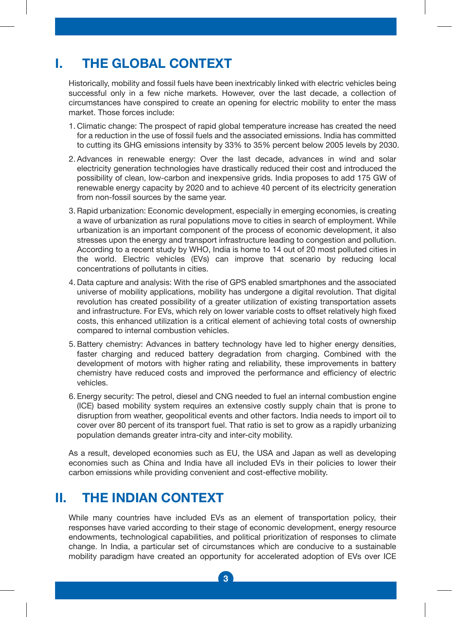# **I. THE GLOBAL CONTEXT**

Historically, mobility and fossil fuels have been inextricably linked with electric vehicles being successful only in a few niche markets. However, over the last decade, a collection of circumstances have conspired to create an opening for electric mobility to enter the mass market. Those forces include:

- 1. Climatic change: The prospect of rapid global temperature increase has created the need for a reduction in the use of fossil fuels and the associated emissions. India has committed to cutting its GHG emissions intensity by 33% to 35% percent below 2005 levels by 2030.
- 2. Advances in renewable energy: Over the last decade, advances in wind and solar electricity generation technologies have drastically reduced their cost and introduced the possibility of clean, low-carbon and inexpensive grids. India proposes to add 175 GW of renewable energy capacity by 2020 and to achieve 40 percent of its electricity generation from non-fossil sources by the same year.
- 3. Rapid urbanization: Economic development, especially in emerging economies, is creating a wave of urbanization as rural populations move to cities in search of employment. While urbanization is an important component of the process of economic development, it also stresses upon the energy and transport infrastructure leading to congestion and pollution. According to a recent study by WHO, India is home to 14 out of 20 most polluted cities in the world. Electric vehicles (EVs) can improve that scenario by reducing local concentrations of pollutants in cities.
- 4. Data capture and analysis: With the rise of GPS enabled smartphones and the associated universe of mobility applications, mobility has undergone a digital revolution. That digital revolution has created possibility of a greater utilization of existing transportation assets and infrastructure. For EVs, which rely on lower variable costs to offset relatively high fixed costs, this enhanced utilization is a critical element of achieving total costs of ownership compared to internal combustion vehicles.
- 5. Battery chemistry: Advances in battery technology have led to higher energy densities, faster charging and reduced battery degradation from charging. Combined with the development of motors with higher rating and reliability, these improvements in battery chemistry have reduced costs and improved the performance and efficiency of electric vehicles.
- 6. Energy security: The petrol, diesel and CNG needed to fuel an internal combustion engine (ICE) based mobility system requires an extensive costly supply chain that is prone to disruption from weather, geopolitical events and other factors. India needs to import oil to cover over 80 percent of its transport fuel. That ratio is set to grow as a rapidly urbanizing population demands greater intra-city and inter-city mobility.

As a result, developed economies such as EU, the USA and Japan as well as developing economies such as China and India have all included EVs in their policies to lower their carbon emissions while providing convenient and cost-effective mobility.

### **II. THE INDIAN CONTEXT**

While many countries have included EVs as an element of transportation policy, their responses have varied according to their stage of economic development, energy resource endowments, technological capabilities, and political prioritization of responses to climate change. In India, a particular set of circumstances which are conducive to a sustainable mobility paradigm have created an opportunity for accelerated adoption of EVs over ICE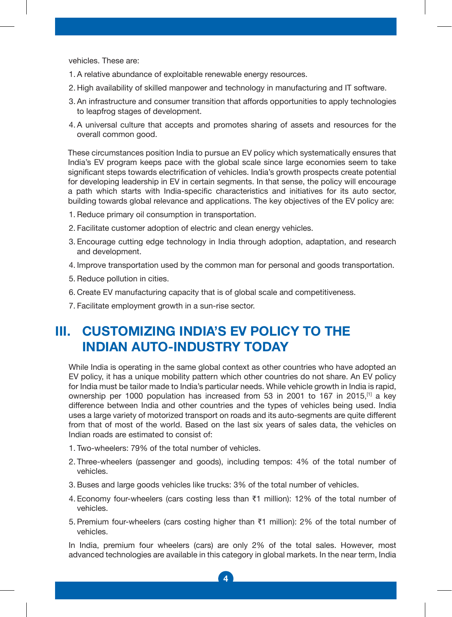vehicles. These are:

- 1. A relative abundance of exploitable renewable energy resources.
- 2. High availability of skilled manpower and technology in manufacturing and IT software.
- 3. An infrastructure and consumer transition that affords opportunities to apply technologies to leapfrog stages of development.
- 4. A universal culture that accepts and promotes sharing of assets and resources for the overall common good.

These circumstances position India to pursue an EV policy which systematically ensures that India's EV program keeps pace with the global scale since large economies seem to take significant steps towards electrification of vehicles. India's growth prospects create potential for developing leadership in EV in certain segments. In that sense, the policy will encourage a path which starts with India-specific characteristics and initiatives for its auto sector, building towards global relevance and applications. The key objectives of the EV policy are:

- 1. Reduce primary oil consumption in transportation.
- 2. Facilitate customer adoption of electric and clean energy vehicles.
- 3. Encourage cutting edge technology in India through adoption, adaptation, and research and development.
- 4. Improve transportation used by the common man for personal and goods transportation.
- 5. Reduce pollution in cities.
- 6. Create EV manufacturing capacity that is of global scale and competitiveness.
- 7. Facilitate employment growth in a sun-rise sector.

### **III. CUSTOMIZING INDIA'S EV POLICY TO THE INDIAN AUTO-INDUSTRY TODAY**

While India is operating in the same global context as other countries who have adopted an EV policy, it has a unique mobility pattern which other countries do not share. An EV policy for India must be tailor made to India's particular needs. While vehicle growth in India is rapid, ownership per 1000 population has increased from 53 in 2001 to 167 in 2015,[1] a key difference between India and other countries and the types of vehicles being used. India uses a large variety of motorized transport on roads and its auto-segments are quite different from that of most of the world. Based on the last six years of sales data, the vehicles on Indian roads are estimated to consist of:

- 1. Two-wheelers: 79% of the total number of vehicles.
- 2. Three-wheelers (passenger and goods), including tempos: 4% of the total number of vehicles.
- 3. Buses and large goods vehicles like trucks: 3% of the total number of vehicles.
- 4. Economy four-wheelers (cars costing less than ₹1 million): 12% of the total number of vehicles.
- 5. Premium four-wheelers (cars costing higher than ₹1 million): 2% of the total number of vehicles.

In India, premium four wheelers (cars) are only 2% of the total sales. However, most advanced technologies are available in this category in global markets. In the near term, India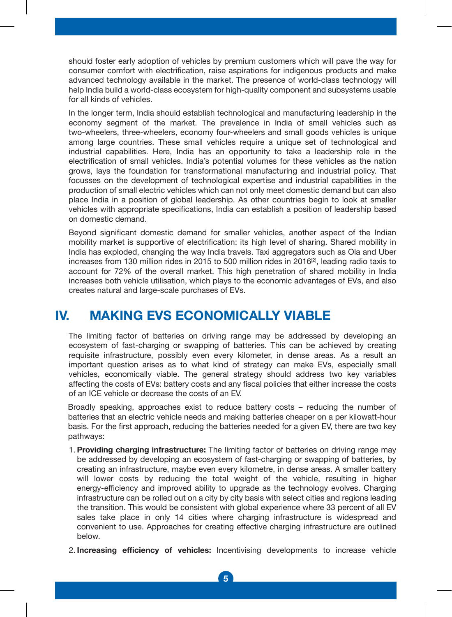should foster early adoption of vehicles by premium customers which will pave the way for consumer comfort with electrification, raise aspirations for indigenous products and make advanced technology available in the market. The presence of world-class technology will help India build a world-class ecosystem for high-quality component and subsystems usable for all kinds of vehicles.

In the longer term, India should establish technological and manufacturing leadership in the economy segment of the market. The prevalence in India of small vehicles such as two-wheelers, three-wheelers, economy four-wheelers and small goods vehicles is unique among large countries. These small vehicles require a unique set of technological and industrial capabilities. Here, India has an opportunity to take a leadership role in the electrification of small vehicles. India's potential volumes for these vehicles as the nation grows, lays the foundation for transformational manufacturing and industrial policy. That focusses on the development of technological expertise and industrial capabilities in the production of small electric vehicles which can not only meet domestic demand but can also place India in a position of global leadership. As other countries begin to look at smaller vehicles with appropriate specifications, India can establish a position of leadership based on domestic demand.

Beyond significant domestic demand for smaller vehicles, another aspect of the Indian mobility market is supportive of electrification: its high level of sharing. Shared mobility in India has exploded, changing the way India travels. Taxi aggregators such as Ola and Uber increases from 130 million rides in 2015 to 500 million rides in 2016[2], leading radio taxis to account for 72% of the overall market. This high penetration of shared mobility in India increases both vehicle utilisation, which plays to the economic advantages of EVs, and also creates natural and large-scale purchases of EVs.

#### **IV. MAKING EVS ECONOMICALLY VIABLE**

The limiting factor of batteries on driving range may be addressed by developing an ecosystem of fast-charging or swapping of batteries. This can be achieved by creating requisite infrastructure, possibly even every kilometer, in dense areas. As a result an important question arises as to what kind of strategy can make EVs, especially small vehicles, economically viable. The general strategy should address two key variables affecting the costs of EVs: battery costs and any fiscal policies that either increase the costs of an ICE vehicle or decrease the costs of an EV.

Broadly speaking, approaches exist to reduce battery costs – reducing the number of batteries that an electric vehicle needs and making batteries cheaper on a per kilowatt-hour basis. For the first approach, reducing the batteries needed for a given EV, there are two key pathways:

- 1. **Providing charging infrastructure:** The limiting factor of batteries on driving range may be addressed by developing an ecosystem of fast-charging or swapping of batteries, by creating an infrastructure, maybe even every kilometre, in dense areas. A smaller battery will lower costs by reducing the total weight of the vehicle, resulting in higher energy-efficiency and improved ability to upgrade as the technology evolves. Charging infrastructure can be rolled out on a city by city basis with select cities and regions leading the transition. This would be consistent with global experience where 33 percent of all EV sales take place in only 14 cities where charging infrastructure is widespread and convenient to use. Approaches for creating effective charging infrastructure are outlined below.
- 2. **Increasing efficiency of vehicles:** Incentivising developments to increase vehicle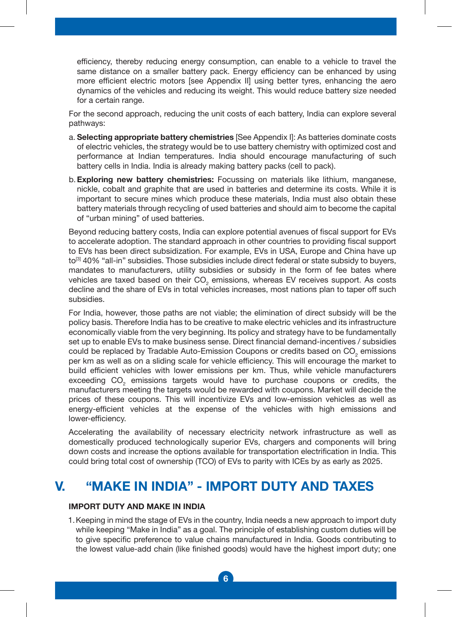efficiency, thereby reducing energy consumption, can enable to a vehicle to travel the same distance on a smaller battery pack. Energy efficiency can be enhanced by using more efficient electric motors [see Appendix II] using better tyres, enhancing the aero dynamics of the vehicles and reducing its weight. This would reduce battery size needed for a certain range.

 For the second approach, reducing the unit costs of each battery, India can explore several pathways:

- a. **Selecting appropriate battery chemistries** [See Appendix I]: As batteries dominate costs of electric vehicles, the strategy would be to use battery chemistry with optimized cost and performance at Indian temperatures. India should encourage manufacturing of such battery cells in India. India is already making battery packs (cell to pack).
- b. **Exploring new battery chemistries:** Focussing on materials like lithium, manganese, nickle, cobalt and graphite that are used in batteries and determine its costs. While it is important to secure mines which produce these materials, India must also obtain these battery materials through recycling of used batteries and should aim to become the capital of "urban mining" of used batteries.

Beyond reducing battery costs, India can explore potential avenues of fiscal support for EVs to accelerate adoption. The standard approach in other countries to providing fiscal support to EVs has been direct subsidization. For example, EVs in USA, Europe and China have up to<sup>[3]</sup> 40% "all-in" subsidies. Those subsidies include direct federal or state subsidy to buyers, mandates to manufacturers, utility subsidies or subsidy in the form of fee bates where vehicles are taxed based on their  $CO<sub>2</sub>$  emissions, whereas EV receives support. As costs decline and the share of EVs in total vehicles increases, most nations plan to taper off such subsidies.

For India, however, those paths are not viable; the elimination of direct subsidy will be the policy basis. Therefore India has to be creative to make electric vehicles and its infrastructure economically viable from the very beginning. Its policy and strategy have to be fundamentally set up to enable EVs to make business sense. Direct financial demand-incentives / subsidies could be replaced by Tradable Auto-Emission Coupons or credits based on  $\text{CO}_2$  emissions per km as well as on a sliding scale for vehicle efficiency. This will encourage the market to build efficient vehicles with lower emissions per km. Thus, while vehicle manufacturers exceeding  $\mathrm{CO}_2^-$  emissions targets would have to purchase coupons or credits, the manufacturers meeting the targets would be rewarded with coupons. Market will decide the prices of these coupons. This will incentivize EVs and low-emission vehicles as well as energy-efficient vehicles at the expense of the vehicles with high emissions and lower-efficiency.

Accelerating the availability of necessary electricity network infrastructure as well as domestically produced technologically superior EVs, chargers and components will bring down costs and increase the options available for transportation electrification in India. This could bring total cost of ownership (TCO) of EVs to parity with ICEs by as early as 2025.

### **V. "MAKE IN INDIA" - IMPORT DUTY AND TAXES**

#### **IMPORT DUTY AND MAKE IN INDIA**

 1. Keeping in mind the stage of EVs in the country, India needs a new approach to import duty while keeping "Make in India" as a goal. The principle of establishing custom duties will be to give specific preference to value chains manufactured in India. Goods contributing to the lowest value-add chain (like finished goods) would have the highest import duty; one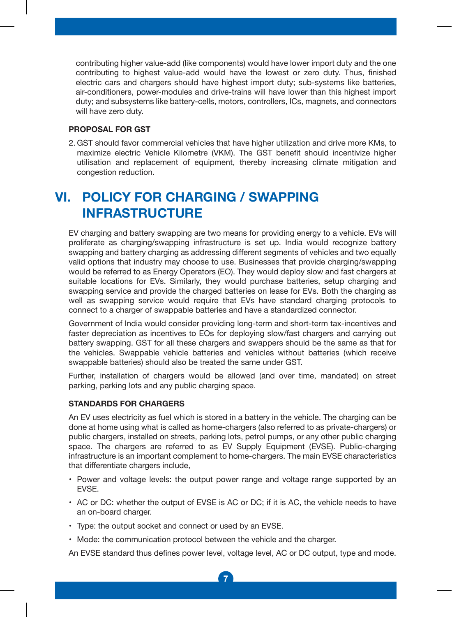contributing higher value-add (like components) would have lower import duty and the one contributing to highest value-add would have the lowest or zero duty. Thus, finished electric cars and chargers should have highest import duty; sub-systems like batteries, air-conditioners, power-modules and drive-trains will have lower than this highest import duty; and subsystems like battery-cells, motors, controllers, ICs, magnets, and connectors will have zero duty.

#### **PROPOSAL FOR GST**

 2. GST should favor commercial vehicles that have higher utilization and drive more KMs, to maximize electric Vehicle Kilometre (VKM). The GST benefit should incentivize higher utilisation and replacement of equipment, thereby increasing climate mitigation and congestion reduction.

# **VI. POLICY FOR CHARGING / SWAPPING INFRASTRUCTURE**

EV charging and battery swapping are two means for providing energy to a vehicle. EVs will proliferate as charging/swapping infrastructure is set up. India would recognize battery swapping and battery charging as addressing different segments of vehicles and two equally valid options that industry may choose to use. Businesses that provide charging/swapping would be referred to as Energy Operators (EO). They would deploy slow and fast chargers at suitable locations for EVs. Similarly, they would purchase batteries, setup charging and swapping service and provide the charged batteries on lease for EVs. Both the charging as well as swapping service would require that EVs have standard charging protocols to connect to a charger of swappable batteries and have a standardized connector.

Government of India would consider providing long-term and short-term tax-incentives and faster depreciation as incentives to EOs for deploying slow/fast chargers and carrying out battery swapping. GST for all these chargers and swappers should be the same as that for the vehicles. Swappable vehicle batteries and vehicles without batteries (which receive swappable batteries) should also be treated the same under GST.

Further, installation of chargers would be allowed (and over time, mandated) on street parking, parking lots and any public charging space.

#### **STANDARDS FOR CHARGERS**

An EV uses electricity as fuel which is stored in a battery in the vehicle. The charging can be done at home using what is called as home-chargers (also referred to as private-chargers) or public chargers, installed on streets, parking lots, petrol pumps, or any other public charging space. The chargers are referred to as EV Supply Equipment (EVSE). Public-charging infrastructure is an important complement to home-chargers. The main EVSE characteristics that differentiate chargers include,

- Power and voltage levels: the output power range and voltage range supported by an EVSE.
- AC or DC: whether the output of EVSE is AC or DC; if it is AC, the vehicle needs to have an on-board charger.
- Type: the output socket and connect or used by an EVSE.
- Mode: the communication protocol between the vehicle and the charger.

An EVSE standard thus defines power level, voltage level, AC or DC output, type and mode.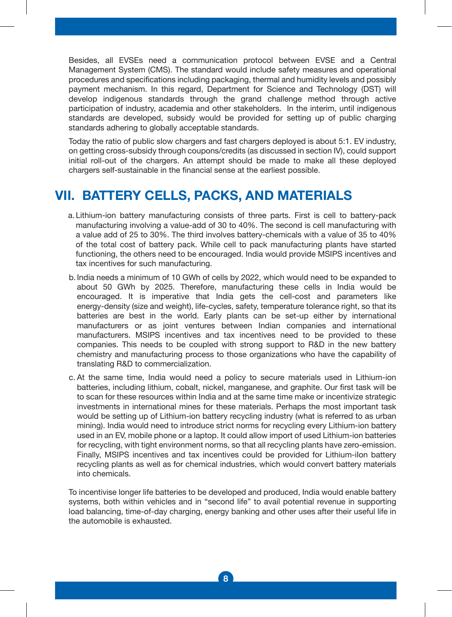Besides, all EVSEs need a communication protocol between EVSE and a Central Management System (CMS). The standard would include safety measures and operational procedures and specifications including packaging, thermal and humidity levels and possibly payment mechanism. In this regard, Department for Science and Technology (DST) will develop indigenous standards through the grand challenge method through active participation of industry, academia and other stakeholders. In the interim, until indigenous standards are developed, subsidy would be provided for setting up of public charging standards adhering to globally acceptable standards.

Today the ratio of public slow chargers and fast chargers deployed is about 5:1. EV industry, on getting cross-subsidy through coupons/credits (as discussed in section IV), could support initial roll-out of the chargers. An attempt should be made to make all these deployed chargers self-sustainable in the financial sense at the earliest possible.

### **VII. BATTERY CELLS, PACKS, AND MATERIALS**

- a. Lithium-ion battery manufacturing consists of three parts. First is cell to battery-pack manufacturing involving a value-add of 30 to 40%. The second is cell manufacturing with a value add of 25 to 30%. The third involves battery-chemicals with a value of 35 to 40% of the total cost of battery pack. While cell to pack manufacturing plants have started functioning, the others need to be encouraged. India would provide MSIPS incentives and tax incentives for such manufacturing.
- b. India needs a minimum of 10 GWh of cells by 2022, which would need to be expanded to about 50 GWh by 2025. Therefore, manufacturing these cells in India would be encouraged. It is imperative that India gets the cell-cost and parameters like energy-density (size and weight), life-cycles, safety, temperature tolerance right, so that its batteries are best in the world. Early plants can be set-up either by international manufacturers or as joint ventures between Indian companies and international manufacturers. MSIPS incentives and tax incentives need to be provided to these companies. This needs to be coupled with strong support to R&D in the new battery chemistry and manufacturing process to those organizations who have the capability of translating R&D to commercialization.
- c. At the same time, India would need a policy to secure materials used in Lithium-ion batteries, including lithium, cobalt, nickel, manganese, and graphite. Our first task will be to scan for these resources within India and at the same time make or incentivize strategic investments in international mines for these materials. Perhaps the most important task would be setting up of Lithium-ion battery recycling industry (what is referred to as urban mining). India would need to introduce strict norms for recycling every Lithium-ion battery used in an EV, mobile phone or a laptop. It could allow import of used Lithium-ion batteries for recycling, with tight environment norms, so that all recycling plants have zero-emission. Finally, MSIPS incentives and tax incentives could be provided for Lithium-ilon battery recycling plants as well as for chemical industries, which would convert battery materials into chemicals.

To incentivise longer life batteries to be developed and produced, India would enable battery systems, both within vehicles and in "second life" to avail potential revenue in supporting load balancing, time-of-day charging, energy banking and other uses after their useful life in the automobile is exhausted.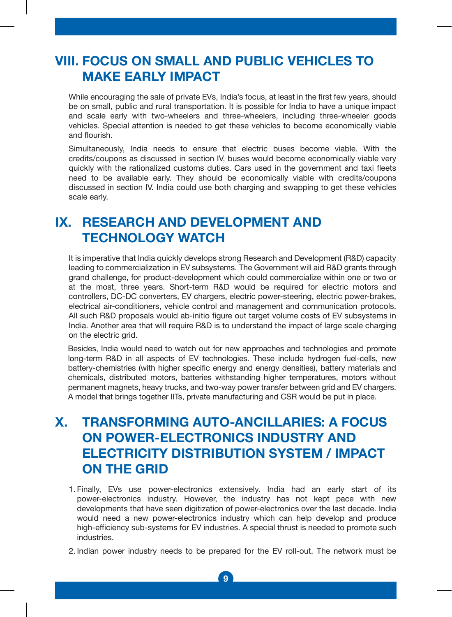### **VIII. FOCUS ON SMALL AND PUBLIC VEHICLES TO MAKE EARLY IMPACT**

While encouraging the sale of private EVs, India's focus, at least in the first few years, should be on small, public and rural transportation. It is possible for India to have a unique impact and scale early with two-wheelers and three-wheelers, including three-wheeler goods vehicles. Special attention is needed to get these vehicles to become economically viable and flourish.

Simultaneously, India needs to ensure that electric buses become viable. With the credits/coupons as discussed in section IV, buses would become economically viable very quickly with the rationalized customs duties. Cars used in the government and taxi fleets need to be available early. They should be economically viable with credits/coupons discussed in section IV. India could use both charging and swapping to get these vehicles scale early.

# **IX. RESEARCH AND DEVELOPMENT AND TECHNOLOGY WATCH**

It is imperative that India quickly develops strong Research and Development (R&D) capacity leading to commercialization in EV subsystems. The Government will aid R&D grants through grand challenge, for product-development which could commercialize within one or two or at the most, three years. Short-term R&D would be required for electric motors and controllers, DC-DC converters, EV chargers, electric power-steering, electric power-brakes, electrical air-conditioners, vehicle control and management and communication protocols. All such R&D proposals would ab-initio figure out target volume costs of EV subsystems in India. Another area that will require R&D is to understand the impact of large scale charging on the electric grid.

Besides, India would need to watch out for new approaches and technologies and promote long-term R&D in all aspects of EV technologies. These include hydrogen fuel-cells, new battery-chemistries (with higher specific energy and energy densities), battery materials and chemicals, distributed motors, batteries withstanding higher temperatures, motors without permanent magnets, heavy trucks, and two-way power transfer between grid and EV chargers. A model that brings together IITs, private manufacturing and CSR would be put in place.

### **X. TRANSFORMING AUTO-ANCILLARIES: A FOCUS ON POWER-ELECTRONICS INDUSTRY AND ELECTRICITY DISTRIBUTION SYSTEM / IMPACT ON THE GRID**

- 1. Finally, EVs use power-electronics extensively. India had an early start of its power-electronics industry. However, the industry has not kept pace with new developments that have seen digitization of power-electronics over the last decade. India would need a new power-electronics industry which can help develop and produce high-efficiency sub-systems for EV industries. A special thrust is needed to promote such industries.
- 2. Indian power industry needs to be prepared for the EV roll-out. The network must be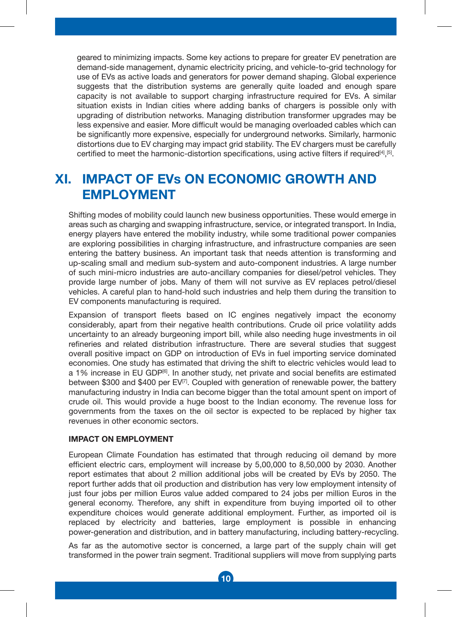geared to minimizing impacts. Some key actions to prepare for greater EV penetration are demand-side management, dynamic electricity pricing, and vehicle-to-grid technology for use of EVs as active loads and generators for power demand shaping. Global experience suggests that the distribution systems are generally quite loaded and enough spare capacity is not available to support charging infrastructure required for EVs. A similar situation exists in Indian cities where adding banks of chargers is possible only with upgrading of distribution networks. Managing distribution transformer upgrades may be less expensive and easier. More difficult would be managing overloaded cables which can be significantly more expensive, especially for underground networks. Similarly, harmonic distortions due to EV charging may impact grid stability. The EV chargers must be carefully certified to meet the harmonic-distortion specifications, using active filters if required $^{\text{44,151}}$ .

### **XI. IMPACT OF EVs ON ECONOMIC GROWTH AND EMPLOYMENT**

Shifting modes of mobility could launch new business opportunities. These would emerge in areas such as charging and swapping infrastructure, service, or integrated transport. In India, energy players have entered the mobility industry, while some traditional power companies are exploring possibilities in charging infrastructure, and infrastructure companies are seen entering the battery business. An important task that needs attention is transforming and up-scaling small and medium sub-system and auto-component industries. A large number of such mini-micro industries are auto-ancillary companies for diesel/petrol vehicles. They provide large number of jobs. Many of them will not survive as EV replaces petrol/diesel vehicles. A careful plan to hand-hold such industries and help them during the transition to EV components manufacturing is required.

Expansion of transport fleets based on IC engines negatively impact the economy considerably, apart from their negative health contributions. Crude oil price volatility adds uncertainty to an already burgeoning import bill, while also needing huge investments in oil refineries and related distribution infrastructure. There are several studies that suggest overall positive impact on GDP on introduction of EVs in fuel importing service dominated economies. One study has estimated that driving the shift to electric vehicles would lead to a 1% increase in EU GDP<sup>[6]</sup>. In another study, net private and social benefits are estimated between \$300 and \$400 per EV<sup>[7]</sup>. Coupled with generation of renewable power, the battery manufacturing industry in India can become bigger than the total amount spent on import of crude oil. This would provide a huge boost to the Indian economy. The revenue loss for governments from the taxes on the oil sector is expected to be replaced by higher tax revenues in other economic sectors.

#### **IMPACT ON EMPLOYMENT**

European Climate Foundation has estimated that through reducing oil demand by more efficient electric cars, employment will increase by 5,00,000 to 8,50,000 by 2030. Another report estimates that about 2 million additional jobs will be created by EVs by 2050. The report further adds that oil production and distribution has very low employment intensity of just four jobs per million Euros value added compared to 24 jobs per million Euros in the general economy. Therefore, any shift in expenditure from buying imported oil to other expenditure choices would generate additional employment. Further, as imported oil is replaced by electricity and batteries, large employment is possible in enhancing power-generation and distribution, and in battery manufacturing, including battery-recycling.

As far as the automotive sector is concerned, a large part of the supply chain will get transformed in the power train segment. Traditional suppliers will move from supplying parts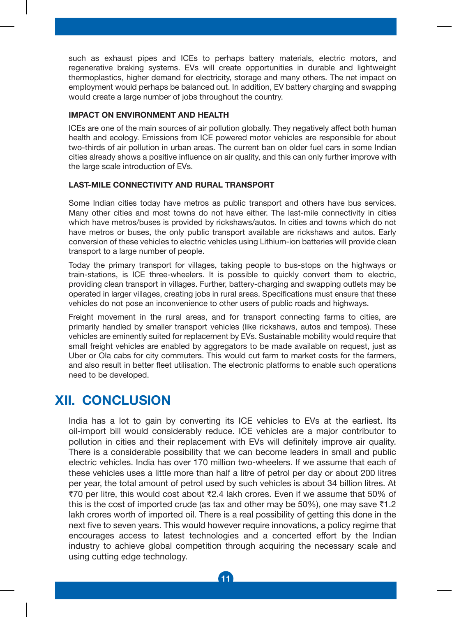such as exhaust pipes and ICEs to perhaps battery materials, electric motors, and regenerative braking systems. EVs will create opportunities in durable and lightweight thermoplastics, higher demand for electricity, storage and many others. The net impact on employment would perhaps be balanced out. In addition, EV battery charging and swapping would create a large number of jobs throughout the country.

#### **IMPACT ON ENVIRONMENT AND HEALTH**

ICEs are one of the main sources of air pollution globally. They negatively affect both human health and ecology. Emissions from ICE powered motor vehicles are responsible for about two-thirds of air pollution in urban areas. The current ban on older fuel cars in some Indian cities already shows a positive influence on air quality, and this can only further improve with the large scale introduction of EVs.

#### **LAST-MILE CONNECTIVITY AND RURAL TRANSPORT**

Some Indian cities today have metros as public transport and others have bus services. Many other cities and most towns do not have either. The last-mile connectivity in cities which have metros/buses is provided by rickshaws/autos. In cities and towns which do not have metros or buses, the only public transport available are rickshaws and autos. Early conversion of these vehicles to electric vehicles using Lithium-ion batteries will provide clean transport to a large number of people.

Today the primary transport for villages, taking people to bus-stops on the highways or train-stations, is ICE three-wheelers. It is possible to quickly convert them to electric, providing clean transport in villages. Further, battery-charging and swapping outlets may be operated in larger villages, creating jobs in rural areas. Specifications must ensure that these vehicles do not pose an inconvenience to other users of public roads and highways.

Freight movement in the rural areas, and for transport connecting farms to cities, are primarily handled by smaller transport vehicles (like rickshaws, autos and tempos). These vehicles are eminently suited for replacement by EVs. Sustainable mobility would require that small freight vehicles are enabled by aggregators to be made available on request, just as Uber or Ola cabs for city commuters. This would cut farm to market costs for the farmers, and also result in better fleet utilisation. The electronic platforms to enable such operations need to be developed.

### **XII. CONCLUSION**

India has a lot to gain by converting its ICE vehicles to EVs at the earliest. Its oil-import bill would considerably reduce. ICE vehicles are a major contributor to pollution in cities and their replacement with EVs will definitely improve air quality. There is a considerable possibility that we can become leaders in small and public electric vehicles. India has over 170 million two-wheelers. If we assume that each of these vehicles uses a little more than half a litre of petrol per day or about 200 litres per year, the total amount of petrol used by such vehicles is about 34 billion litres. At ₹70 per litre, this would cost about ₹2.4 lakh crores. Even if we assume that 50% of this is the cost of imported crude (as tax and other may be 50%), one may save  $\overline{51.2}$ lakh crores worth of imported oil. There is a real possibility of getting this done in the next five to seven years. This would however require innovations, a policy regime that encourages access to latest technologies and a concerted effort by the Indian industry to achieve global competition through acquiring the necessary scale and using cutting edge technology.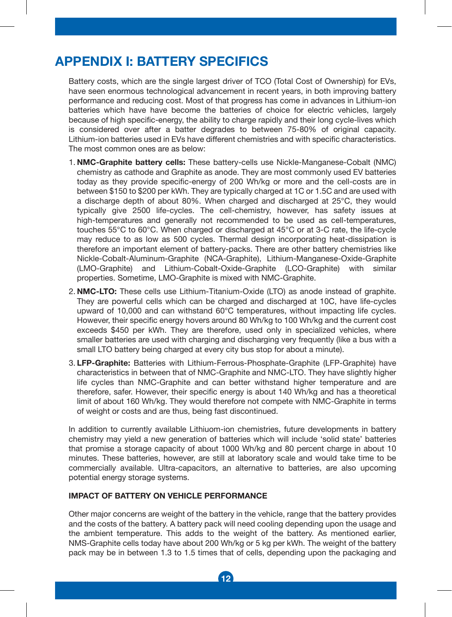# **APPENDIX I: BATTERY SPECIFICS**

Battery costs, which are the single largest driver of TCO (Total Cost of Ownership) for EVs, have seen enormous technological advancement in recent years, in both improving battery performance and reducing cost. Most of that progress has come in advances in Lithium-ion batteries which have have become the batteries of choice for electric vehicles, largely because of high specific-energy, the ability to charge rapidly and their long cycle-lives which is considered over after a batter degrades to between 75-80% of original capacity. Lithium-ion batteries used in EVs have different chemistries and with specific characteristics. The most common ones are as below:

- 1. **NMC-Graphite battery cells:** These battery-cells use Nickle-Manganese-Cobalt (NMC) chemistry as cathode and Graphite as anode. They are most commonly used EV batteries today as they provide specific-energy of 200 Wh/kg or more and the cell-costs are in between \$150 to \$200 per kWh. They are typically charged at 1C or 1.5C and are used with a discharge depth of about 80%. When charged and discharged at 25°C, they would typically give 2500 life-cycles. The cell-chemistry, however, has safety issues at high-temperatures and generally not recommended to be used as cell-temperatures, touches 55°C to 60°C. When charged or discharged at 45°C or at 3-C rate, the life-cycle may reduce to as low as 500 cycles. Thermal design incorporating heat-dissipation is therefore an important element of battery-packs. There are other battery chemistries like Nickle-Cobalt-Aluminum-Graphite (NCA-Graphite), Lithium-Manganese-Oxide-Graphite (LMO-Graphite) and Lithium-Cobalt-Oxide-Graphite (LCO-Graphite) with similar properties. Sometime, LMO-Graphite is mixed with NMC-Graphite.
- 2. **NMC-LTO:** These cells use Lithium-Titanium-Oxide (LTO) as anode instead of graphite. They are powerful cells which can be charged and discharged at 10C, have life-cycles upward of 10,000 and can withstand 60°C temperatures, without impacting life cycles. However, their specific energy hovers around 80 Wh/kg to 100 Wh/kg and the current cost exceeds \$450 per kWh. They are therefore, used only in specialized vehicles, where smaller batteries are used with charging and discharging very frequently (like a bus with a small LTO battery being charged at every city bus stop for about a minute).
- 3. **LFP-Graphite:** Batteries with Lithium-Ferrous-Phosphate-Graphite (LFP-Graphite) have characteristics in between that of NMC-Graphite and NMC-LTO. They have slightly higher life cycles than NMC-Graphite and can better withstand higher temperature and are therefore, safer. However, their specific energy is about 140 Wh/kg and has a theoretical limit of about 160 Wh/kg. They would therefore not compete with NMC-Graphite in terms of weight or costs and are thus, being fast discontinued.

In addition to currently available Lithiuom-ion chemistries, future developments in battery chemistry may yield a new generation of batteries which will include 'solid state' batteries that promise a storage capacity of about 1000 Wh/kg and 80 percent charge in about 10 minutes. These batteries, however, are still at laboratory scale and would take time to be commercially available. Ultra-capacitors, an alternative to batteries, are also upcoming potential energy storage systems.

#### **IMPACT OF BATTERY ON VEHICLE PERFORMANCE**

Other major concerns are weight of the battery in the vehicle, range that the battery provides and the costs of the battery. A battery pack will need cooling depending upon the usage and the ambient temperature. This adds to the weight of the battery. As mentioned earlier, NMS-Graphite cells today have about 200 Wh/kg or 5 kg per kWh. The weight of the battery pack may be in between 1.3 to 1.5 times that of cells, depending upon the packaging and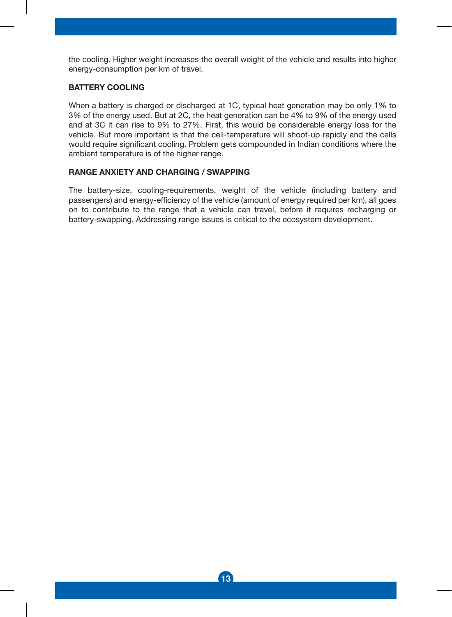the cooling. Higher weight increases the overall weight of the vehicle and results into higher energy-consumption per km of travel.

#### **BATTERY COOLING**

When a battery is charged or discharged at 1C, typical heat generation may be only 1% to 3% of the energy used. But at 2C, the heat generation can be 4% to 9% of the energy used and at 3C it can rise to 9% to 27%. First, this would be considerable energy loss for the vehicle. But more important is that the cell-temperature will shoot-up rapidly and the cells would require significant cooling. Problem gets compounded in Indian conditions where the ambient temperature is of the higher range.

#### **RANGE ANXIETY AND CHARGING / SWAPPING**

The battery-size, cooling-requirements, weight of the vehicle (including battery and passengers) and energy-efficiency of the vehicle (amount of energy required per km), all goes on to contribute to the range that a vehicle can travel, before it requires recharging or battery-swapping. Addressing range issues is critical to the ecosystem development.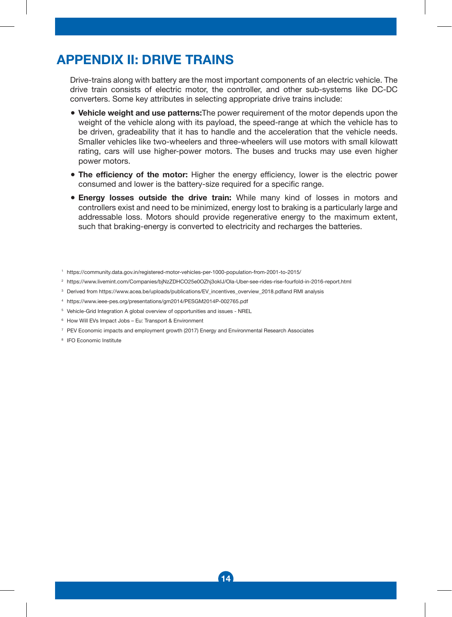### **APPENDIX II: DRIVE TRAINS**

Drive-trains along with battery are the most important components of an electric vehicle. The drive train consists of electric motor, the controller, and other sub-systems like DC-DC converters. Some key attributes in selecting appropriate drive trains include:

- **Vehicle weight and use patterns:**The power requirement of the motor depends upon the weight of the vehicle along with its payload, the speed-range at which the vehicle has to be driven, gradeability that it has to handle and the acceleration that the vehicle needs. Smaller vehicles like two-wheelers and three-wheelers will use motors with small kilowatt rating, cars will use higher-power motors. The buses and trucks may use even higher power motors.
- **The efficiency of the motor:** Higher the energy efficiency, lower is the electric power consumed and lower is the battery-size required for a specific range.
- **Energy losses outside the drive train:** While many kind of losses in motors and controllers exist and need to be minimized, energy lost to braking is a particularly large and addressable loss. Motors should provide regenerative energy to the maximum extent, such that braking-energy is converted to electricity and recharges the batteries.

- 2 https://www.livemint.com/Companies/bjNzZDHCO25e0OZhj3okIJ/Ola-Uber-see-rides-rise-fourfold-in-2016-report.html
- 3 Derived from https://www.acea.be/uploads/publications/EV\_incentives\_overview\_2018.pdfand RMI analysis
- 4 https://www.ieee-pes.org/presentations/gm2014/PESGM2014P-002765.pdf
- 5 Vehicle-Grid Integration A global overview of opportunities and issues NREL
- 6 How Will EVs Impact Jobs Eu: Transport & Environment
- 7 PEV Economic impacts and employment growth (2017) Energy and Environmental Research Associates
- 8 IFO Economic Institute

<sup>1</sup> https://community.data.gov.in/registered-motor-vehicles-per-1000-population-from-2001-to-2015/